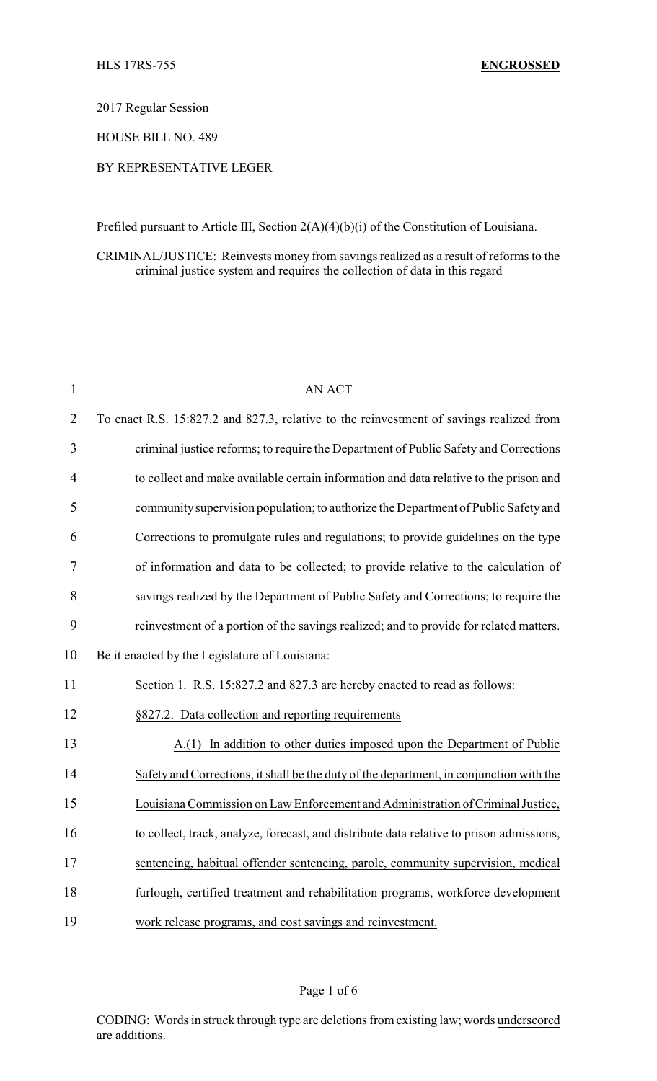2017 Regular Session

HOUSE BILL NO. 489

## BY REPRESENTATIVE LEGER

Prefiled pursuant to Article III, Section 2(A)(4)(b)(i) of the Constitution of Louisiana.

CRIMINAL/JUSTICE: Reinvests money from savings realized as a result of reforms to the criminal justice system and requires the collection of data in this regard

| $\mathbf{1}$   | <b>AN ACT</b>                                                                            |
|----------------|------------------------------------------------------------------------------------------|
| $\overline{2}$ | To enact R.S. 15:827.2 and 827.3, relative to the reinvestment of savings realized from  |
| 3              | criminal justice reforms; to require the Department of Public Safety and Corrections     |
| 4              | to collect and make available certain information and data relative to the prison and    |
| 5              | community supervision population; to authorize the Department of Public Safety and       |
| 6              | Corrections to promulgate rules and regulations; to provide guidelines on the type       |
| 7              | of information and data to be collected; to provide relative to the calculation of       |
| 8              | savings realized by the Department of Public Safety and Corrections; to require the      |
| 9              | reinvestment of a portion of the savings realized; and to provide for related matters.   |
| 10             | Be it enacted by the Legislature of Louisiana:                                           |
| 11             | Section 1. R.S. 15:827.2 and 827.3 are hereby enacted to read as follows:                |
| 12             | §827.2. Data collection and reporting requirements                                       |
| 13             | A.(1) In addition to other duties imposed upon the Department of Public                  |
| 14             | Safety and Corrections, it shall be the duty of the department, in conjunction with the  |
| 15             | Louisiana Commission on Law Enforcement and Administration of Criminal Justice,          |
| 16             | to collect, track, analyze, forecast, and distribute data relative to prison admissions, |
| 17             | sentencing, habitual offender sentencing, parole, community supervision, medical         |
| 18             | furlough, certified treatment and rehabilitation programs, workforce development         |
| 19             | work release programs, and cost savings and reinvestment.                                |

#### Page 1 of 6

CODING: Words in struck through type are deletions from existing law; words underscored are additions.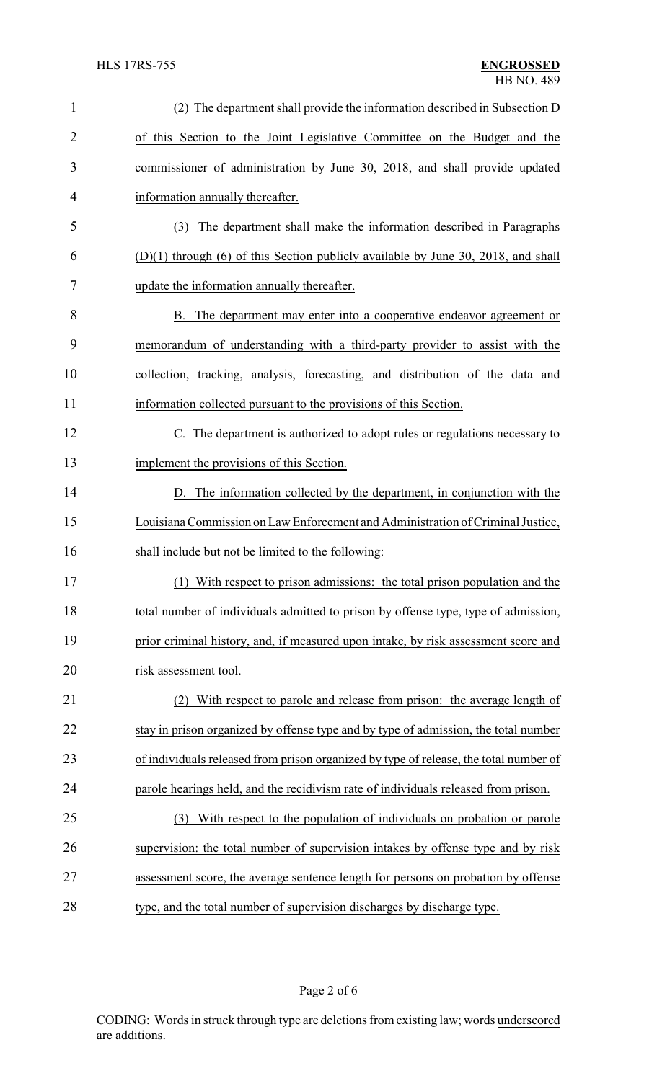| $\mathbf{1}$   | (2) The department shall provide the information described in Subsection D            |
|----------------|---------------------------------------------------------------------------------------|
| $\overline{2}$ | of this Section to the Joint Legislative Committee on the Budget and the              |
| 3              | commissioner of administration by June 30, 2018, and shall provide updated            |
| 4              | information annually thereafter.                                                      |
| 5              | The department shall make the information described in Paragraphs<br>(3)              |
| 6              | $(D)(1)$ through $(6)$ of this Section publicly available by June 30, 2018, and shall |
| 7              | update the information annually thereafter.                                           |
| 8              | B. The department may enter into a cooperative endeavor agreement or                  |
| 9              | memorandum of understanding with a third-party provider to assist with the            |
| 10             | collection, tracking, analysis, forecasting, and distribution of the data and         |
| 11             | information collected pursuant to the provisions of this Section.                     |
| 12             | C. The department is authorized to adopt rules or regulations necessary to            |
| 13             | implement the provisions of this Section.                                             |
| 14             | D. The information collected by the department, in conjunction with the               |
| 15             | Louisiana Commission on Law Enforcement and Administration of Criminal Justice,       |
| 16             | shall include but not be limited to the following:                                    |
| 17             | (1) With respect to prison admissions: the total prison population and the            |
| 18             | total number of individuals admitted to prison by offense type, type of admission,    |
| 19             | prior criminal history, and, if measured upon intake, by risk assessment score and    |
| 20             | risk assessment tool.                                                                 |
| 21             | With respect to parole and release from prison: the average length of                 |
| 22             | stay in prison organized by offense type and by type of admission, the total number   |
| 23             | of individuals released from prison organized by type of release, the total number of |
| 24             | parole hearings held, and the recidivism rate of individuals released from prison.    |
| 25             | With respect to the population of individuals on probation or parole<br>(3)           |
| 26             | supervision: the total number of supervision intakes by offense type and by risk      |
| 27             | assessment score, the average sentence length for persons on probation by offense     |
| 28             | type, and the total number of supervision discharges by discharge type.               |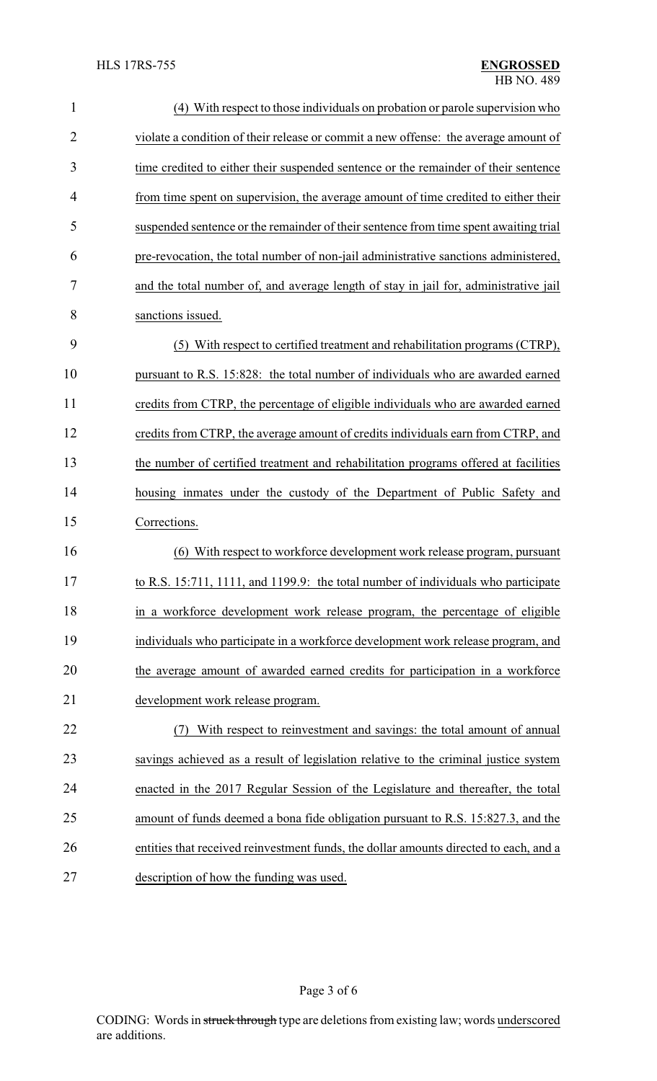| $\mathbf{1}$   | (4) With respect to those individuals on probation or parole supervision who          |
|----------------|---------------------------------------------------------------------------------------|
| $\overline{2}$ | violate a condition of their release or commit a new offense: the average amount of   |
| 3              | time credited to either their suspended sentence or the remainder of their sentence   |
| 4              | from time spent on supervision, the average amount of time credited to either their   |
| 5              | suspended sentence or the remainder of their sentence from time spent awaiting trial  |
| 6              | pre-revocation, the total number of non-jail administrative sanctions administered,   |
| 7              | and the total number of, and average length of stay in jail for, administrative jail  |
| 8              | sanctions issued.                                                                     |
| 9              | (5) With respect to certified treatment and rehabilitation programs (CTRP),           |
| 10             | pursuant to R.S. 15:828: the total number of individuals who are awarded earned       |
| 11             | credits from CTRP, the percentage of eligible individuals who are awarded earned      |
| 12             | credits from CTRP, the average amount of credits individuals earn from CTRP, and      |
| 13             | the number of certified treatment and rehabilitation programs offered at facilities   |
| 14             | housing inmates under the custody of the Department of Public Safety and              |
| 15             | Corrections.                                                                          |
| 16             | (6) With respect to workforce development work release program, pursuant              |
| 17             | to R.S. 15:711, 1111, and 1199.9: the total number of individuals who participate     |
| 18             | in a workforce development work release program, the percentage of eligible           |
| 19             | individuals who participate in a workforce development work release program, and      |
| 20             | the average amount of awarded earned credits for participation in a workforce         |
| 21             | development work release program.                                                     |
| 22             | With respect to reinvestment and savings: the total amount of annual<br>(7)           |
| 23             | savings achieved as a result of legislation relative to the criminal justice system   |
| 24             | enacted in the 2017 Regular Session of the Legislature and thereafter, the total      |
| 25             | amount of funds deemed a bona fide obligation pursuant to R.S. 15:827.3, and the      |
| 26             | entities that received reinvestment funds, the dollar amounts directed to each, and a |
| 27             | description of how the funding was used.                                              |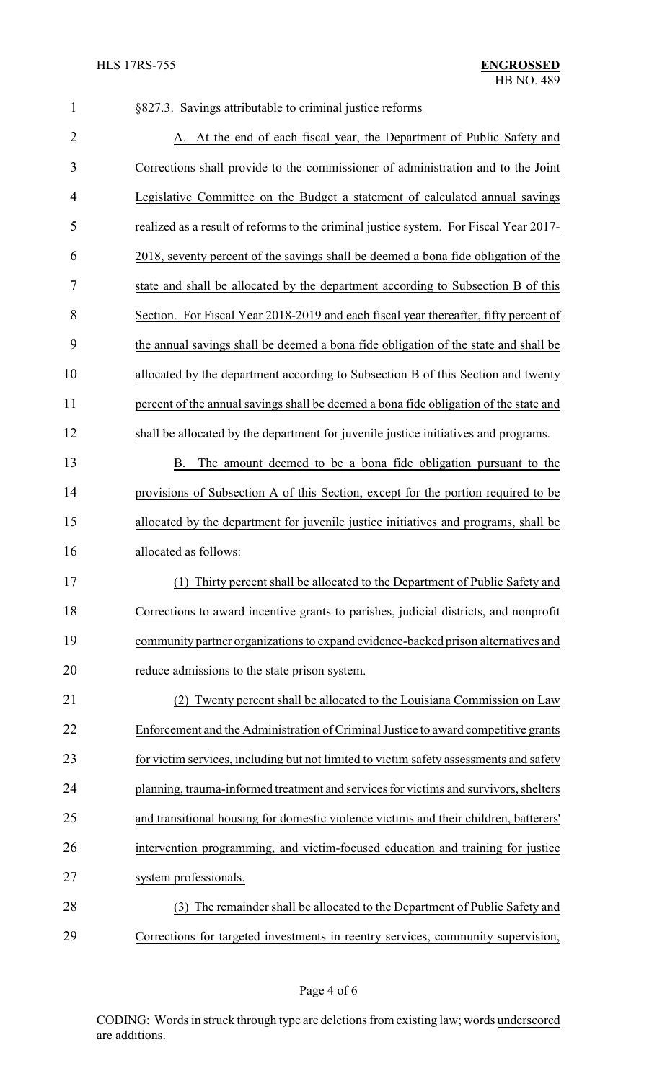# §827.3. Savings attributable to criminal justice reforms 2 A. At the end of each fiscal year, the Department of Public Safety and Corrections shall provide to the commissioner of administration and to the Joint Legislative Committee on the Budget a statement of calculated annual savings realized as a result of reforms to the criminal justice system. For Fiscal Year 2017- 2018, seventy percent of the savings shall be deemed a bona fide obligation of the state and shall be allocated by the department according to Subsection B of this Section. For Fiscal Year 2018-2019 and each fiscal year thereafter, fifty percent of the annual savings shall be deemed a bona fide obligation of the state and shall be allocated by the department according to Subsection B of this Section and twenty percent of the annual savings shall be deemed a bona fide obligation of the state and shall be allocated by the department for juvenile justice initiatives and programs. B. The amount deemed to be a bona fide obligation pursuant to the provisions of Subsection A of this Section, except for the portion required to be allocated by the department for juvenile justice initiatives and programs, shall be allocated as follows: (1) Thirty percent shall be allocated to the Department of Public Safety and Corrections to award incentive grants to parishes, judicial districts, and nonprofit community partner organizations to expand evidence-backed prison alternatives and reduce admissions to the state prison system. (2) Twenty percent shall be allocated to the Louisiana Commission on Law Enforcement and the Administration of Criminal Justice to award competitive grants for victim services, including but not limited to victim safety assessments and safety planning, trauma-informed treatment and services for victims and survivors, shelters and transitional housing for domestic violence victims and their children, batterers' intervention programming, and victim-focused education and training for justice system professionals. (3) The remainder shall be allocated to the Department of Public Safety and Corrections for targeted investments in reentry services, community supervision,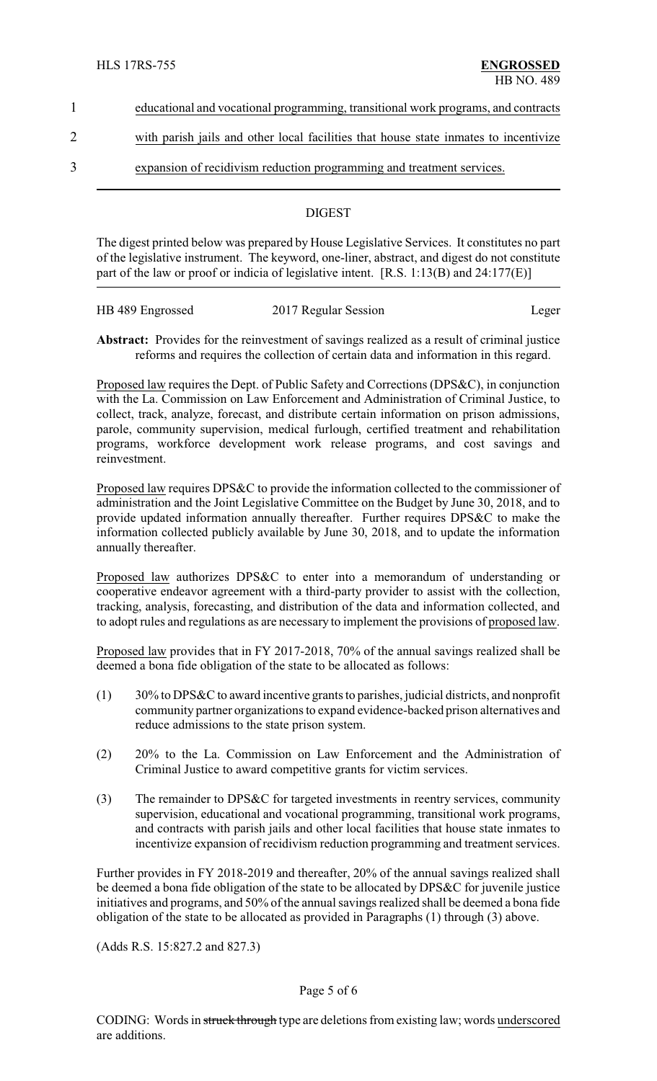- 1 educational and vocational programming, transitional work programs, and contracts
- 2 with parish jails and other local facilities that house state inmates to incentivize
- 3 expansion of recidivism reduction programming and treatment services.

## **DIGEST**

The digest printed below was prepared by House Legislative Services. It constitutes no part of the legislative instrument. The keyword, one-liner, abstract, and digest do not constitute part of the law or proof or indicia of legislative intent. [R.S. 1:13(B) and 24:177(E)]

| HB 489 Engrossed | 2017 Regular Session | Leger |
|------------------|----------------------|-------|

**Abstract:** Provides for the reinvestment of savings realized as a result of criminal justice reforms and requires the collection of certain data and information in this regard.

Proposed law requires the Dept. of Public Safety and Corrections (DPS&C), in conjunction with the La. Commission on Law Enforcement and Administration of Criminal Justice, to collect, track, analyze, forecast, and distribute certain information on prison admissions, parole, community supervision, medical furlough, certified treatment and rehabilitation programs, workforce development work release programs, and cost savings and reinvestment.

Proposed law requires DPS&C to provide the information collected to the commissioner of administration and the Joint Legislative Committee on the Budget by June 30, 2018, and to provide updated information annually thereafter. Further requires DPS&C to make the information collected publicly available by June 30, 2018, and to update the information annually thereafter.

Proposed law authorizes DPS&C to enter into a memorandum of understanding or cooperative endeavor agreement with a third-party provider to assist with the collection, tracking, analysis, forecasting, and distribution of the data and information collected, and to adopt rules and regulations as are necessary to implement the provisions of proposed law.

Proposed law provides that in FY 2017-2018, 70% of the annual savings realized shall be deemed a bona fide obligation of the state to be allocated as follows:

- (1) 30% to DPS&C to award incentive grants to parishes, judicial districts, and nonprofit community partner organizations to expand evidence-backed prison alternatives and reduce admissions to the state prison system.
- (2) 20% to the La. Commission on Law Enforcement and the Administration of Criminal Justice to award competitive grants for victim services.
- (3) The remainder to DPS&C for targeted investments in reentry services, community supervision, educational and vocational programming, transitional work programs, and contracts with parish jails and other local facilities that house state inmates to incentivize expansion of recidivism reduction programming and treatment services.

Further provides in FY 2018-2019 and thereafter, 20% of the annual savings realized shall be deemed a bona fide obligation of the state to be allocated by DPS&C for juvenile justice initiatives and programs, and 50% of the annual savings realized shall be deemed a bona fide obligation of the state to be allocated as provided in Paragraphs (1) through (3) above.

(Adds R.S. 15:827.2 and 827.3)